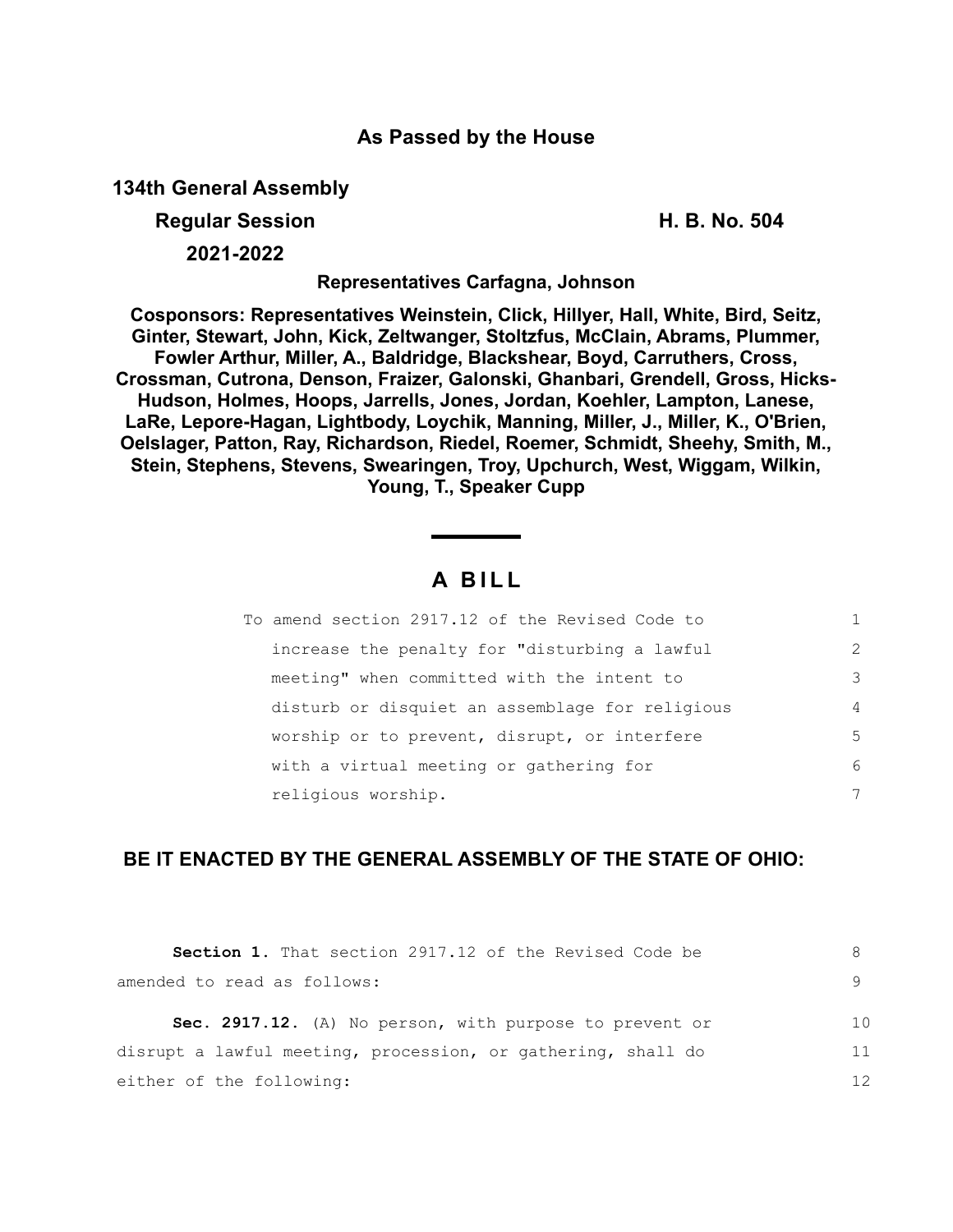## **As Passed by the House**

**134th General Assembly**

**Regular Session H. B. No. 504**

**2021-2022**

**Representatives Carfagna, Johnson**

**Cosponsors: Representatives Weinstein, Click, Hillyer, Hall, White, Bird, Seitz, Ginter, Stewart, John, Kick, Zeltwanger, Stoltzfus, McClain, Abrams, Plummer, Fowler Arthur, Miller, A., Baldridge, Blackshear, Boyd, Carruthers, Cross, Crossman, Cutrona, Denson, Fraizer, Galonski, Ghanbari, Grendell, Gross, Hicks-Hudson, Holmes, Hoops, Jarrells, Jones, Jordan, Koehler, Lampton, Lanese, LaRe, Lepore-Hagan, Lightbody, Loychik, Manning, Miller, J., Miller, K., O'Brien, Oelslager, Patton, Ray, Richardson, Riedel, Roemer, Schmidt, Sheehy, Smith, M., Stein, Stephens, Stevens, Swearingen, Troy, Upchurch, West, Wiggam, Wilkin, Young, T., Speaker Cupp**

## **A B I L L**

| To amend section 2917.12 of the Revised Code to |                |
|-------------------------------------------------|----------------|
| increase the penalty for "disturbing a lawful   | $\mathcal{L}$  |
| meeting" when committed with the intent to      | 3              |
| disturb or disquiet an assemblage for religious | $\overline{4}$ |
| worship or to prevent, disrupt, or interfere    | 5              |
| with a virtual meeting or gathering for         | 6              |
| religious worship.                              | 7              |

## **BE IT ENACTED BY THE GENERAL ASSEMBLY OF THE STATE OF OHIO:**

| <b>Section 1.</b> That section 2917.12 of the Revised Code be |                |
|---------------------------------------------------------------|----------------|
| amended to read as follows:                                   |                |
| Sec. 2917.12. (A) No person, with purpose to prevent or       | 1 <sub>0</sub> |
| disrupt a lawful meeting, procession, or gathering, shall do  | 11             |
| either of the following:                                      | 12             |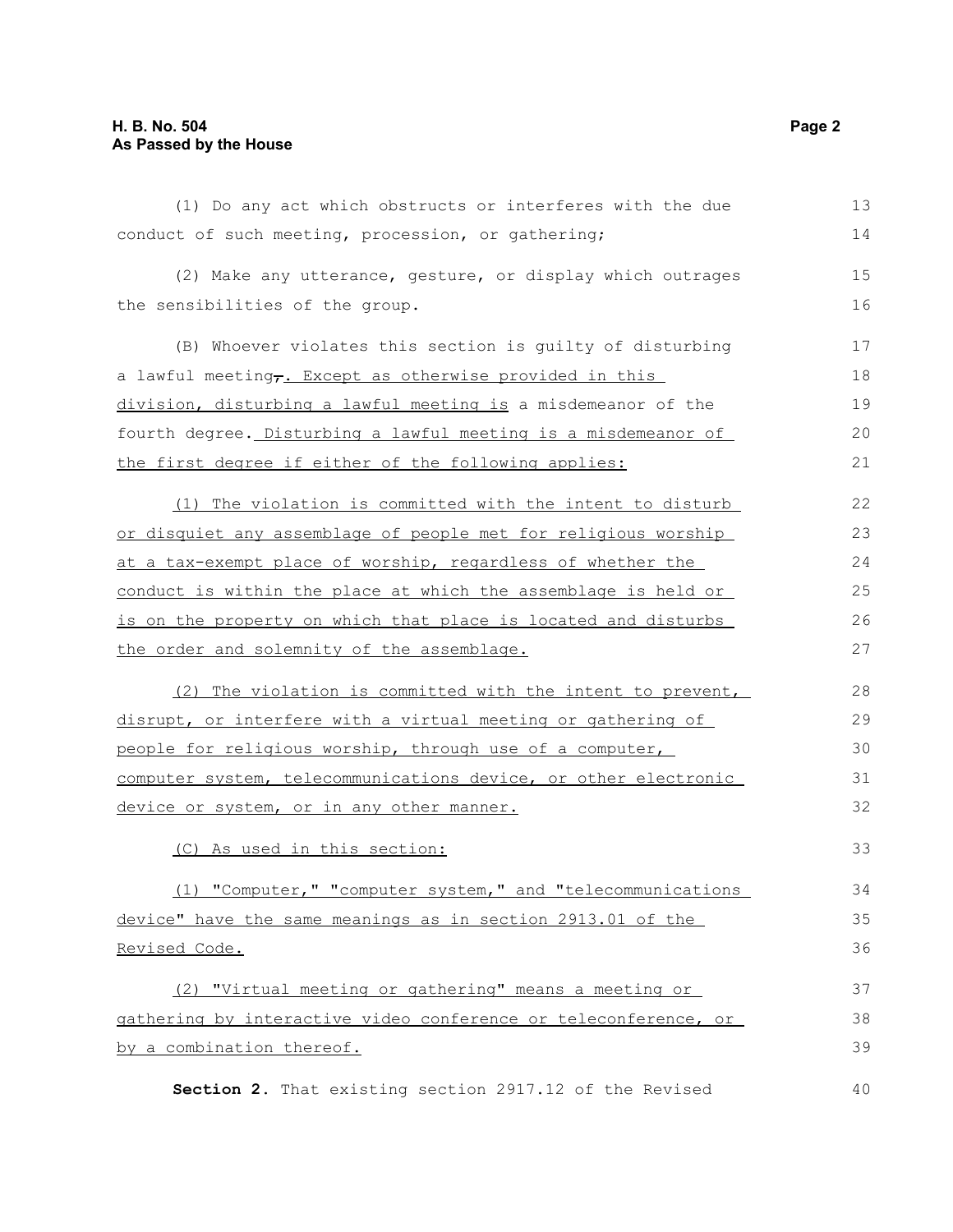| (1) Do any act which obstructs or interferes with the due            | 13 |
|----------------------------------------------------------------------|----|
| conduct of such meeting, procession, or gathering;                   | 14 |
| (2) Make any utterance, gesture, or display which outrages           | 15 |
| the sensibilities of the group.                                      | 16 |
| (B) Whoever violates this section is guilty of disturbing            | 17 |
| a lawful meeting <sub>7</sub> . Except as otherwise provided in this | 18 |
| division, disturbing a lawful meeting is a misdemeanor of the        | 19 |
| fourth degree. Disturbing a lawful meeting is a misdemeanor of       | 20 |
| the first degree if either of the following applies:                 | 21 |
| (1) The violation is committed with the intent to disturb            | 22 |
| or disquiet any assemblage of people met for religious worship       | 23 |
| at a tax-exempt place of worship, regardless of whether the          | 24 |
| conduct is within the place at which the assemblage is held or       | 25 |
| is on the property on which that place is located and disturbs       | 26 |
| the order and solemnity of the assemblage.                           | 27 |
| (2) The violation is committed with the intent to prevent,           | 28 |
| disrupt, or interfere with a virtual meeting or gathering of         | 29 |
| people for religious worship, through use of a computer,             | 30 |
| computer system, telecommunications device, or other electronic      | 31 |
| device or system, or in any other manner.                            | 32 |
| (C) As used in this section:                                         | 33 |
| (1) "Computer," "computer system," and "telecommunications           | 34 |
| device" have the same meanings as in section 2913.01 of the          | 35 |
| Revised Code.                                                        | 36 |
| (2) "Virtual meeting or gathering" means a meeting or                | 37 |
| gathering by interactive video conference or teleconference, or      | 38 |
| by a combination thereof.                                            | 39 |
| Section 2. That existing section 2917.12 of the Revised              | 40 |